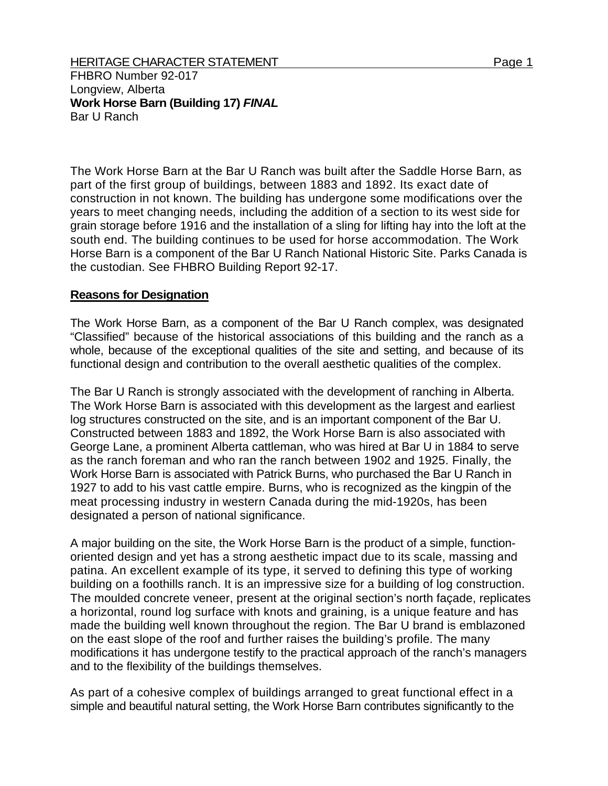## HERITAGE CHARACTER STATEMENT FOR A 2000 1 Page 1

FHBRO Number 92-017 Longview, Alberta **Work Horse Barn (Building 17)** *FINAL*  Bar U Ranch

The Work Horse Barn at the Bar U Ranch was built after the Saddle Horse Barn, as part of the first group of buildings, between 1883 and 1892. Its exact date of construction in not known. The building has undergone some modifications over the years to meet changing needs, including the addition of a section to its west side for grain storage before 1916 and the installation of a sling for lifting hay into the loft at the south end. The building continues to be used for horse accommodation. The Work Horse Barn is a component of the Bar U Ranch National Historic Site. Parks Canada is the custodian. See FHBRO Building Report 92-17.

## **Reasons for Designation**

The Work Horse Barn, as a component of the Bar U Ranch complex, was designated "Classified" because of the historical associations of this building and the ranch as a whole, because of the exceptional qualities of the site and setting, and because of its functional design and contribution to the overall aesthetic qualities of the complex.

The Bar U Ranch is strongly associated with the development of ranching in Alberta. The Work Horse Barn is associated with this development as the largest and earliest log structures constructed on the site, and is an important component of the Bar U. Constructed between 1883 and 1892, the Work Horse Barn is also associated with George Lane, a prominent Alberta cattleman, who was hired at Bar U in 1884 to serve as the ranch foreman and who ran the ranch between 1902 and 1925. Finally, the Work Horse Barn is associated with Patrick Burns, who purchased the Bar U Ranch in 1927 to add to his vast cattle empire. Burns, who is recognized as the kingpin of the meat processing industry in western Canada during the mid-1920s, has been designated a person of national significance.

A major building on the site, the Work Horse Barn is the product of a simple, functionoriented design and yet has a strong aesthetic impact due to its scale, massing and patina. An excellent example of its type, it served to defining this type of working building on a foothills ranch. It is an impressive size for a building of log construction. The moulded concrete veneer, present at the original section's north façade, replicates a horizontal, round log surface with knots and graining, is a unique feature and has made the building well known throughout the region. The Bar U brand is emblazoned on the east slope of the roof and further raises the building's profile. The many modifications it has undergone testify to the practical approach of the ranch's managers and to the flexibility of the buildings themselves.

As part of a cohesive complex of buildings arranged to great functional effect in a simple and beautiful natural setting, the Work Horse Barn contributes significantly to the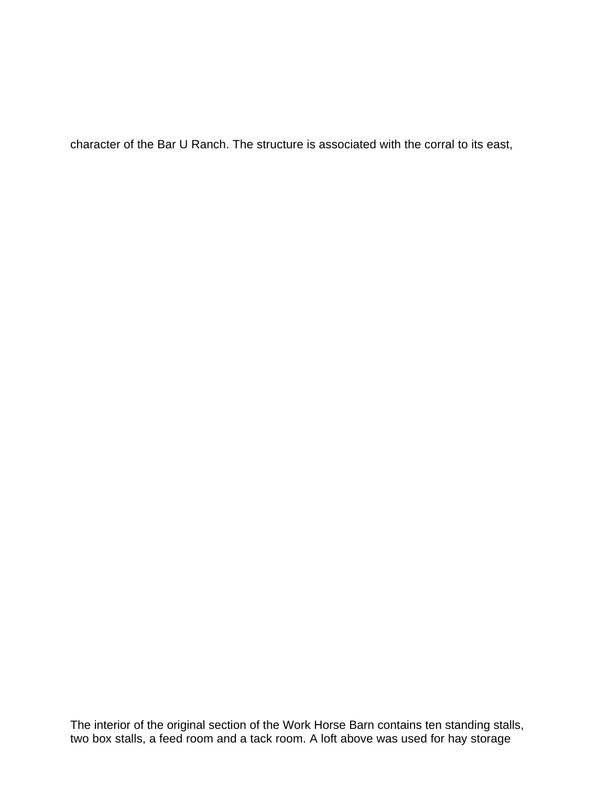character of the Bar U Ranch. The structure is associated with the corral to its east,

The interior of the original section of the Work Horse Barn contains ten standing stalls, two box stalls, a feed room and a tack room. A loft above was used for hay storage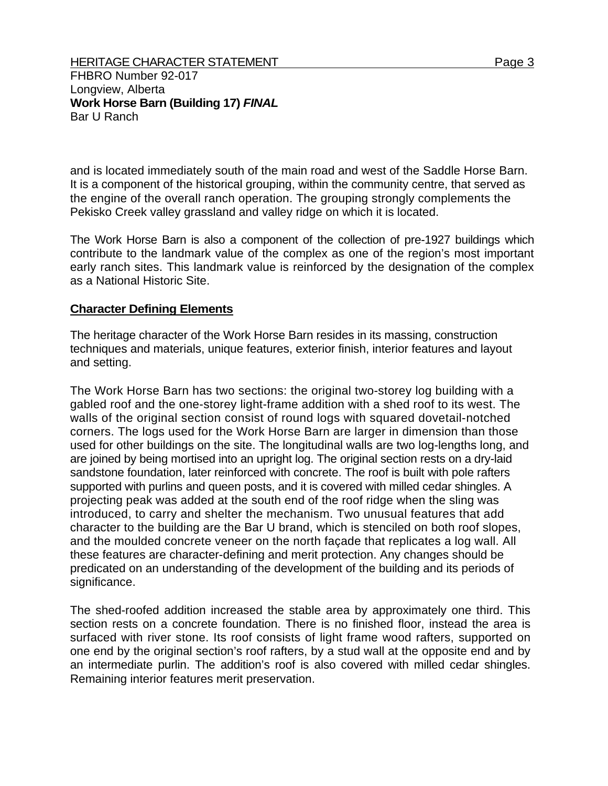FHBRO Number 92-017 Longview, Alberta **Work Horse Barn (Building 17)** *FINAL*  Bar U Ranch

and is located immediately south of the main road and west of the Saddle Horse Barn. It is a component of the historical grouping, within the community centre, that served as the engine of the overall ranch operation. The grouping strongly complements the Pekisko Creek valley grassland and valley ridge on which it is located.

The Work Horse Barn is also a component of the collection of pre-1927 buildings which contribute to the landmark value of the complex as one of the region's most important early ranch sites. This landmark value is reinforced by the designation of the complex as a National Historic Site.

## **Character Defining Elements**

The heritage character of the Work Horse Barn resides in its massing, construction techniques and materials, unique features, exterior finish, interior features and layout and setting.

The Work Horse Barn has two sections: the original two-storey log building with a gabled roof and the one-storey light-frame addition with a shed roof to its west. The walls of the original section consist of round logs with squared dovetail-notched corners. The logs used for the Work Horse Barn are larger in dimension than those used for other buildings on the site. The longitudinal walls are two log-lengths long, and are joined by being mortised into an upright log. The original section rests on a dry-laid sandstone foundation, later reinforced with concrete. The roof is built with pole rafters supported with purlins and queen posts, and it is covered with milled cedar shingles. A projecting peak was added at the south end of the roof ridge when the sling was introduced, to carry and shelter the mechanism. Two unusual features that add character to the building are the Bar U brand, which is stenciled on both roof slopes, and the moulded concrete veneer on the north façade that replicates a log wall. All these features are character-defining and merit protection. Any changes should be predicated on an understanding of the development of the building and its periods of significance.

The shed-roofed addition increased the stable area by approximately one third. This section rests on a concrete foundation. There is no finished floor, instead the area is surfaced with river stone. Its roof consists of light frame wood rafters, supported on one end by the original section's roof rafters, by a stud wall at the opposite end and by an intermediate purlin. The addition's roof is also covered with milled cedar shingles. Remaining interior features merit preservation.